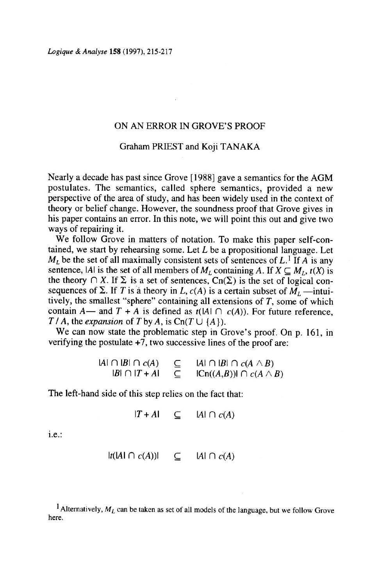## ON AN ERROR IN GROVE'S PROOF

## Graham PRIEST and Koji TANAKA

Nearly a decade has past since Grove [1988] gave a semantics for the AGM postulates. The semantics, called sphere semantics, provided a new perspective of the area of study, and has been widely used in the context of theory or belief change. However, the soundness proof that Grove gives in his paper contains an error. In this note, we will point this out and give two ways of repairing it.

We follow Grove in matters of notation. To make this paper self-contained, we start by rehearsing some. Let  $L$  be a propositional language. Let  $M_L$  be the set of all maximally consistent sets of sentences of L.<sup>1</sup> If A is any sentence,  $|A|$  is the set of all members of M the theory  $\bigcap X$ . If  $\sum$  is a set of sentences,  $\text{Cn}(\Sigma)$  is the set of logical consequences of  $\Sigma$ . If T is a theory in  $L$ ,  $c(A)$  is a certain subset of  $M_1$ t  $T / A$ , the expansion of T by A, is Cn(T  $\cup$  {A}) tively, the smallest "sphere" containing all extensions of  $T$ , some of which contain  $A$ — and  $T + A$  is defined as  $t(A | \cap c(A))$ . For future reference,

we can now state the procedurate step in Srove s proof. So verifying the postulate  $+7$ , two successive lines of the proof are:  $W_0$  can now state the nuch We can now state the problematic step in Grove's proof. On p. 161, in

| $ A  \cap  B  \cap c(A)$ | ⊆           | $ A  \cap  B  \cap c(A \wedge B)$ |
|--------------------------|-------------|-----------------------------------|
| $ B  \cap  T+A $         | $\subseteq$ | $ Cn((A,B))  \cap c(A \wedge B)$  |

The left-hand side of this step relies on the fact that:

 $|T + A| \subset$   $|A| \cap c(A)$ 

i.e.:  $\ddot{\phantom{0}}$ 

$$
|t(A|\cap c(A))| \subseteq |A|\cap c(A)
$$

here. <sup>1</sup> Alternatively,  $M_L$  can be taken as set of all models of the language, but we follow Grove  $\mathbf{C}$ .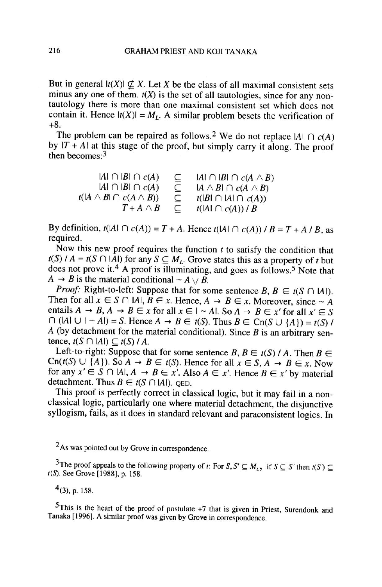But in general  $|t(X)| \nsubseteq X$ . Let X be the class of all maximal consistent sets minus any one of them.  $t(X)$  is the set of all tautologies, since for any nontautology there is more than one maximal consistent set which does not contain it. Hence  $|t(X)| = M_t$ . A similar problem besets the verification of  $+8.$ 

The problem can be repaired as follows. by  $|I + A|$  at this stage of the proof, but simply carry it along. The proof  $\mathbf{b}$  becomes. then becomes: $3 \times 3$ 

 $|A| \cap |B| \cap c(A)$  $t(A \wedge B) \cap c$  $T+A\wedge B$ I A I  $|A| \cap |B| \cap c(A)$  $\subseteq$  IAI  $\cap$  IBI  $\cap$   $c(A \wedge B)$  $\subseteq$  IA  $\wedge$  BI  $\cap$  c(A  $\wedge$  B)  $\subseteq$   $t(|B| \cap |A| \cap c(A))$ t( $|A| \cap c(A)) / B$ 

f B ) ) By definition,  $t(A \cap c(A)) =$ required.

Now this new proof requires the function  $t$  to satisfy the condition that  $l(s)$   $l A = l(s + |A|)$  for an  $\frac{1000}{4}$  $A \rightarrow B$  is the material conditional  $\sim A \vee B$ .<br>Proof: Right-to-left: Suppose that for as  $t(S)$  / A =  $t(S \cap |A|)$  for any  $S \subseteq M_L$ . Grove states this as a property of t but does not prove it.  $\overline{D}$  is the final population.

Then for all  $r \in S$ entails  $A \rightarrow B$ .  $\bigcap$  ([A]  $\bigcup$   $\bigcup$   $\sim$   $\bigtriangleup$  $\overline{A}$  (by detachment) tence,  $t(S \cap |A|) \subseteq t(S) / A$ . **Proof:** Right-to-left: Suppose that for some sentence  $B, B \in t(S \cap |A|)$ . I hen for all  $x \in S \cap [A]$ entails  $A \to B$ ,  $A \to B \in x$  for all  $x \in I \sim A$ . So  $A \to B \in x'$  for all  $x' \in S$  $H \cup H \sim A$ ) = S. Hence  $A \to B \in t(S)$ . Thus  $B \in \text{Cn}(S \cup \{A\}) = t(S)$  / A (by detachment for the material conditional). Since B is an arbitrary sen-

 $\text{Cn}(t(S) \cup \{A\})$ for any  $x' \in S \cap |A|, A \to B \in$ detachment. Thus  $B \in t(S \cap |A|)$ . QED.  $Left-to-right$ Left-to-right: Suppose that for some sentence B,  $B \in t(S)$  / A. Then  $B \in$ 

rms proor is peried<br>classical logic, partic syllogism, This proof is perfectly correct in classical logic, but it may fail in a non-.<br>ا  $\frac{1}{2}$ syllogism, rails, as it does in standard relevant and paraconsistent logics. In classical logic, particularly one where material detachment, the disjunctive

As was pointed out by Grove in correspondence.

The proof appears to the R<br> $t(S)$ . See Grove [1988], p. 158.  $\frac{3}{\pi}$ The proof ap

 $4$ (3), p. 158.

 $\ddot{\phantom{a}}$ 

h Tanaka [1996]. A similar proof was given by Grove in correspondence. p (